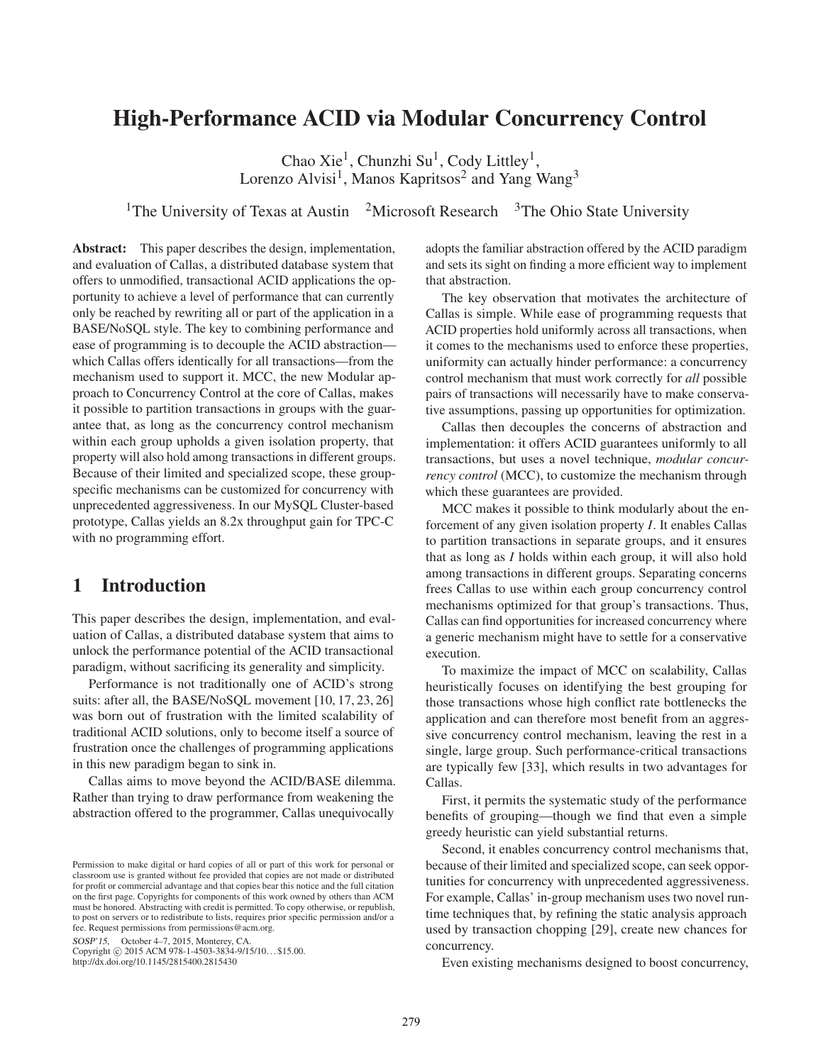# High-Performance ACID via Modular Concurrency Control

Chao Xie<sup>1</sup>, Chunzhi Su<sup>1</sup>, Cody Littley<sup>1</sup>,

Lorenzo Alvisi<sup>1</sup>, Manos Kapritsos<sup>2</sup> and Yang Wang<sup>3</sup>

<sup>1</sup>The University of Texas at Austin <sup>2</sup>Microsoft Research <sup>3</sup>The Ohio State University

Abstract: This paper describes the design, implementation, and evaluation of Callas, a distributed database system that offers to unmodified, transactional ACID applications the opportunity to achieve a level of performance that can currently only be reached by rewriting all or part of the application in a BASE/NoSQL style. The key to combining performance and ease of programming is to decouple the ACID abstraction which Callas offers identically for all transactions—from the mechanism used to support it. MCC, the new Modular approach to Concurrency Control at the core of Callas, makes it possible to partition transactions in groups with the guarantee that, as long as the concurrency control mechanism within each group upholds a given isolation property, that property will also hold among transactions in different groups. Because of their limited and specialized scope, these groupspecific mechanisms can be customized for concurrency with unprecedented aggressiveness. In our MySQL Cluster-based prototype, Callas yields an 8.2x throughput gain for TPC-C with no programming effort.

# 1 Introduction

This paper describes the design, implementation, and evaluation of Callas, a distributed database system that aims to unlock the performance potential of the ACID transactional paradigm, without sacrificing its generality and simplicity.

Performance is not traditionally one of ACID's strong suits: after all, the BASE/NoSQL movement [10, 17, 23, 26] was born out of frustration with the limited scalability of traditional ACID solutions, only to become itself a source of frustration once the challenges of programming applications in this new paradigm began to sink in.

Callas aims to move beyond the ACID/BASE dilemma. Rather than trying to draw performance from weakening the abstraction offered to the programmer, Callas unequivocally

SOSP'15, October 4–7, 2015, Monterey, CA.

Copyright  $\odot$  2015 ACM 978-1-4503-3834-9/15/10...\$15.00. http://dx.doi.org/10.1145/2815400.2815430

adopts the familiar abstraction offered by the ACID paradigm and sets its sight on finding a more efficient way to implement that abstraction.

The key observation that motivates the architecture of Callas is simple. While ease of programming requests that ACID properties hold uniformly across all transactions, when it comes to the mechanisms used to enforce these properties, uniformity can actually hinder performance: a concurrency control mechanism that must work correctly for *all* possible pairs of transactions will necessarily have to make conservative assumptions, passing up opportunities for optimization.

Callas then decouples the concerns of abstraction and implementation: it offers ACID guarantees uniformly to all transactions, but uses a novel technique, *modular concurrency control* (MCC), to customize the mechanism through which these guarantees are provided.

MCC makes it possible to think modularly about the enforcement of any given isolation property *I*. It enables Callas to partition transactions in separate groups, and it ensures that as long as *I* holds within each group, it will also hold among transactions in different groups. Separating concerns frees Callas to use within each group concurrency control mechanisms optimized for that group's transactions. Thus, Callas can find opportunities for increased concurrency where a generic mechanism might have to settle for a conservative execution.

To maximize the impact of MCC on scalability, Callas heuristically focuses on identifying the best grouping for those transactions whose high conflict rate bottlenecks the application and can therefore most benefit from an aggressive concurrency control mechanism, leaving the rest in a single, large group. Such performance-critical transactions are typically few [33], which results in two advantages for Callas.

First, it permits the systematic study of the performance benefits of grouping—though we find that even a simple greedy heuristic can yield substantial returns.

Second, it enables concurrency control mechanisms that, because of their limited and specialized scope, can seek opportunities for concurrency with unprecedented aggressiveness. For example, Callas' in-group mechanism uses two novel runtime techniques that, by refining the static analysis approach used by transaction chopping [29], create new chances for concurrency.

Even existing mechanisms designed to boost concurrency,

Permission to make digital or hard copies of all or part of this work for personal or classroom use is granted without fee provided that copies are not made or distributed for profit or commercial advantage and that copies bear this notice and the full citation on the first page. Copyrights for components of this work owned by others than ACM must be honored. Abstracting with credit is permitted. To copy otherwise, or republish, to post on servers or to redistribute to lists, requires prior specific permission and/or a fee. Request permissions from permissions@acm.org.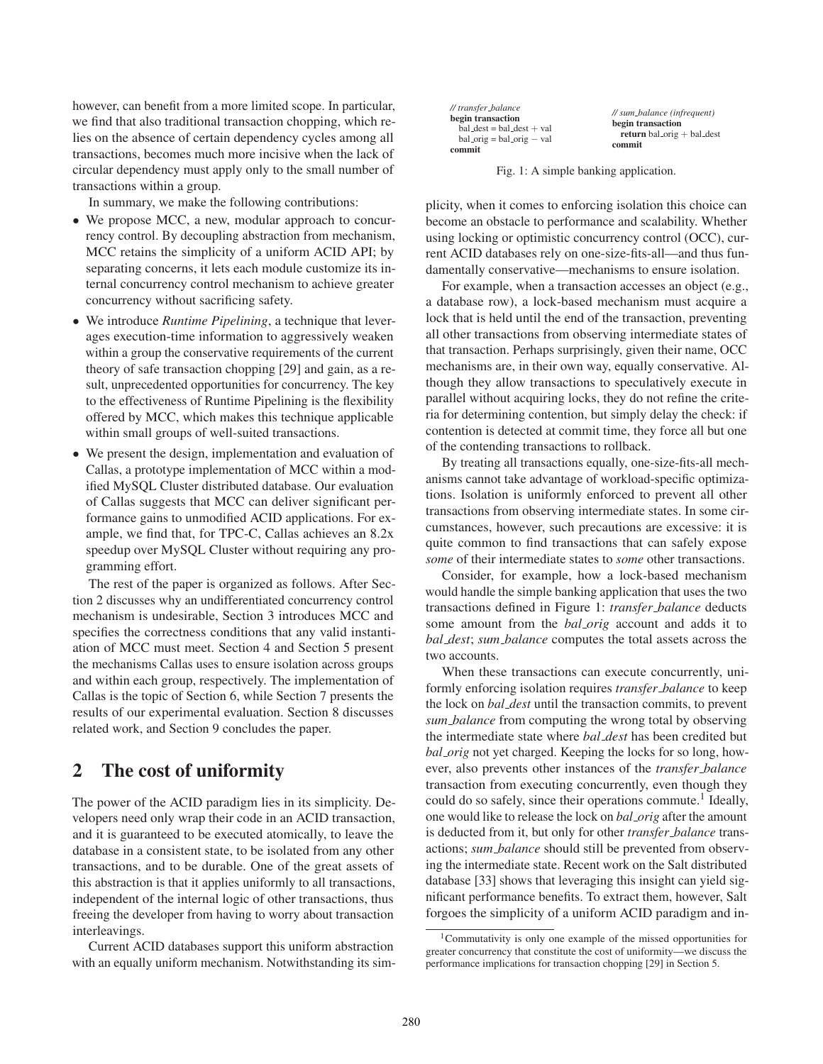however, can benefit from a more limited scope. In particular, we find that also traditional transaction chopping, which relies on the absence of certain dependency cycles among all transactions, becomes much more incisive when the lack of circular dependency must apply only to the small number of transactions within a group.

In summary, we make the following contributions:

- We propose MCC, a new, modular approach to concurrency control. By decoupling abstraction from mechanism, MCC retains the simplicity of a uniform ACID API; by separating concerns, it lets each module customize its internal concurrency control mechanism to achieve greater concurrency without sacrificing safety.
- We introduce *Runtime Pipelining*, a technique that leverages execution-time information to aggressively weaken within a group the conservative requirements of the current theory of safe transaction chopping [29] and gain, as a result, unprecedented opportunities for concurrency. The key to the effectiveness of Runtime Pipelining is the flexibility offered by MCC, which makes this technique applicable within small groups of well-suited transactions.
- We present the design, implementation and evaluation of Callas, a prototype implementation of MCC within a modified MySQL Cluster distributed database. Our evaluation of Callas suggests that MCC can deliver significant performance gains to unmodified ACID applications. For example, we find that, for TPC-C, Callas achieves an 8.2x speedup over MySQL Cluster without requiring any programming effort.

The rest of the paper is organized as follows. After Section 2 discusses why an undifferentiated concurrency control mechanism is undesirable, Section 3 introduces MCC and specifies the correctness conditions that any valid instantiation of MCC must meet. Section 4 and Section 5 present the mechanisms Callas uses to ensure isolation across groups and within each group, respectively. The implementation of Callas is the topic of Section 6, while Section 7 presents the results of our experimental evaluation. Section 8 discusses related work, and Section 9 concludes the paper.

# 2 The cost of uniformity

The power of the ACID paradigm lies in its simplicity. Developers need only wrap their code in an ACID transaction, and it is guaranteed to be executed atomically, to leave the database in a consistent state, to be isolated from any other transactions, and to be durable. One of the great assets of this abstraction is that it applies uniformly to all transactions, independent of the internal logic of other transactions, thus freeing the developer from having to worry about transaction interleavings.

Current ACID databases support this uniform abstraction with an equally uniform mechanism. Notwithstanding its sim-

| // transfer_balance<br>begin transaction | // sum_balance (infrequent)  |  |  |
|------------------------------------------|------------------------------|--|--|
| $bal\_dest = bal\_dest + val$            | begin transaction            |  |  |
| $bal_\text{0} = bal_\text{0} = val$      | return bal_orig $+$ bal_dest |  |  |
| commit                                   | commit                       |  |  |

Fig. 1: A simple banking application.

plicity, when it comes to enforcing isolation this choice can become an obstacle to performance and scalability. Whether using locking or optimistic concurrency control (OCC), current ACID databases rely on one-size-fits-all—and thus fundamentally conservative—mechanisms to ensure isolation.

For example, when a transaction accesses an object (e.g., a database row), a lock-based mechanism must acquire a lock that is held until the end of the transaction, preventing all other transactions from observing intermediate states of that transaction. Perhaps surprisingly, given their name, OCC mechanisms are, in their own way, equally conservative. Although they allow transactions to speculatively execute in parallel without acquiring locks, they do not refine the criteria for determining contention, but simply delay the check: if contention is detected at commit time, they force all but one of the contending transactions to rollback.

By treating all transactions equally, one-size-fits-all mechanisms cannot take advantage of workload-specific optimizations. Isolation is uniformly enforced to prevent all other transactions from observing intermediate states. In some circumstances, however, such precautions are excessive: it is quite common to find transactions that can safely expose *some* of their intermediate states to *some* other transactions.

Consider, for example, how a lock-based mechanism would handle the simple banking application that uses the two transactions defined in Figure 1: *transfer balance* deducts some amount from the *bal orig* account and adds it to *bal dest*; *sum balance* computes the total assets across the two accounts.

When these transactions can execute concurrently, uniformly enforcing isolation requires *transfer balance* to keep the lock on *bal dest* until the transaction commits, to prevent *sum balance* from computing the wrong total by observing the intermediate state where *bal dest* has been credited but *bal orig* not yet charged. Keeping the locks for so long, however, also prevents other instances of the *transfer balance* transaction from executing concurrently, even though they could do so safely, since their operations commute.<sup>1</sup> Ideally, one would like to release the lock on *bal orig* after the amount is deducted from it, but only for other *transfer balance* transactions; *sum balance* should still be prevented from observing the intermediate state. Recent work on the Salt distributed database [33] shows that leveraging this insight can yield significant performance benefits. To extract them, however, Salt forgoes the simplicity of a uniform ACID paradigm and in-

<sup>1</sup>Commutativity is only one example of the missed opportunities for greater concurrency that constitute the cost of uniformity—we discuss the performance implications for transaction chopping [29] in Section 5.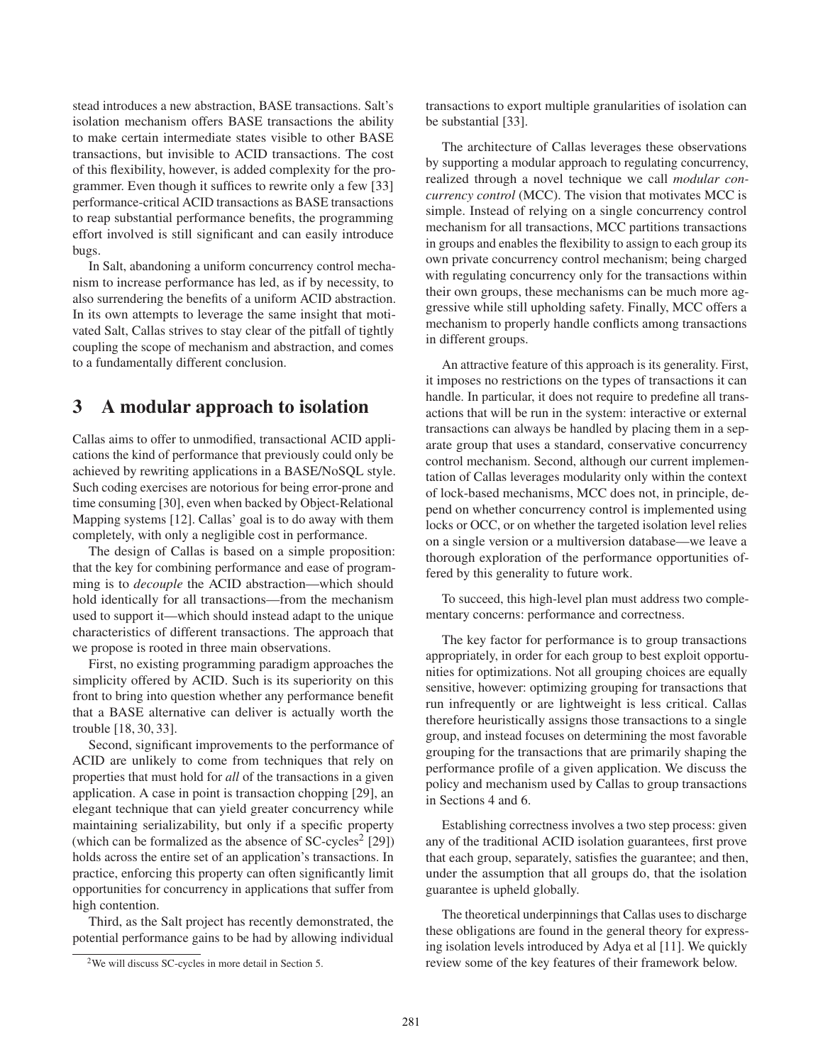stead introduces a new abstraction, BASE transactions. Salt's isolation mechanism offers BASE transactions the ability to make certain intermediate states visible to other BASE transactions, but invisible to ACID transactions. The cost of this flexibility, however, is added complexity for the programmer. Even though it suffices to rewrite only a few [33] performance-critical ACID transactions as BASE transactions to reap substantial performance benefits, the programming effort involved is still significant and can easily introduce bugs.

In Salt, abandoning a uniform concurrency control mechanism to increase performance has led, as if by necessity, to also surrendering the benefits of a uniform ACID abstraction. In its own attempts to leverage the same insight that motivated Salt, Callas strives to stay clear of the pitfall of tightly coupling the scope of mechanism and abstraction, and comes to a fundamentally different conclusion.

# 3 A modular approach to isolation

Callas aims to offer to unmodified, transactional ACID applications the kind of performance that previously could only be achieved by rewriting applications in a BASE/NoSQL style. Such coding exercises are notorious for being error-prone and time consuming [30], even when backed by Object-Relational Mapping systems [12]. Callas' goal is to do away with them completely, with only a negligible cost in performance.

The design of Callas is based on a simple proposition: that the key for combining performance and ease of programming is to *decouple* the ACID abstraction—which should hold identically for all transactions—from the mechanism used to support it—which should instead adapt to the unique characteristics of different transactions. The approach that we propose is rooted in three main observations.

First, no existing programming paradigm approaches the simplicity offered by ACID. Such is its superiority on this front to bring into question whether any performance benefit that a BASE alternative can deliver is actually worth the trouble [18, 30, 33].

Second, significant improvements to the performance of ACID are unlikely to come from techniques that rely on properties that must hold for *all* of the transactions in a given application. A case in point is transaction chopping [29], an elegant technique that can yield greater concurrency while maintaining serializability, but only if a specific property (which can be formalized as the absence of  $SC$ -cycles<sup>2</sup> [29]) holds across the entire set of an application's transactions. In practice, enforcing this property can often significantly limit opportunities for concurrency in applications that suffer from high contention.

Third, as the Salt project has recently demonstrated, the potential performance gains to be had by allowing individual transactions to export multiple granularities of isolation can be substantial [33].

The architecture of Callas leverages these observations by supporting a modular approach to regulating concurrency, realized through a novel technique we call *modular concurrency control* (MCC). The vision that motivates MCC is simple. Instead of relying on a single concurrency control mechanism for all transactions, MCC partitions transactions in groups and enables the flexibility to assign to each group its own private concurrency control mechanism; being charged with regulating concurrency only for the transactions within their own groups, these mechanisms can be much more aggressive while still upholding safety. Finally, MCC offers a mechanism to properly handle conflicts among transactions in different groups.

An attractive feature of this approach is its generality. First, it imposes no restrictions on the types of transactions it can handle. In particular, it does not require to predefine all transactions that will be run in the system: interactive or external transactions can always be handled by placing them in a separate group that uses a standard, conservative concurrency control mechanism. Second, although our current implementation of Callas leverages modularity only within the context of lock-based mechanisms, MCC does not, in principle, depend on whether concurrency control is implemented using locks or OCC, or on whether the targeted isolation level relies on a single version or a multiversion database—we leave a thorough exploration of the performance opportunities offered by this generality to future work.

To succeed, this high-level plan must address two complementary concerns: performance and correctness.

The key factor for performance is to group transactions appropriately, in order for each group to best exploit opportunities for optimizations. Not all grouping choices are equally sensitive, however: optimizing grouping for transactions that run infrequently or are lightweight is less critical. Callas therefore heuristically assigns those transactions to a single group, and instead focuses on determining the most favorable grouping for the transactions that are primarily shaping the performance profile of a given application. We discuss the policy and mechanism used by Callas to group transactions in Sections 4 and 6.

Establishing correctness involves a two step process: given any of the traditional ACID isolation guarantees, first prove that each group, separately, satisfies the guarantee; and then, under the assumption that all groups do, that the isolation guarantee is upheld globally.

The theoretical underpinnings that Callas uses to discharge these obligations are found in the general theory for expressing isolation levels introduced by Adya et al [11]. We quickly review some of the key features of their framework below.

<sup>2</sup>We will discuss SC-cycles in more detail in Section 5.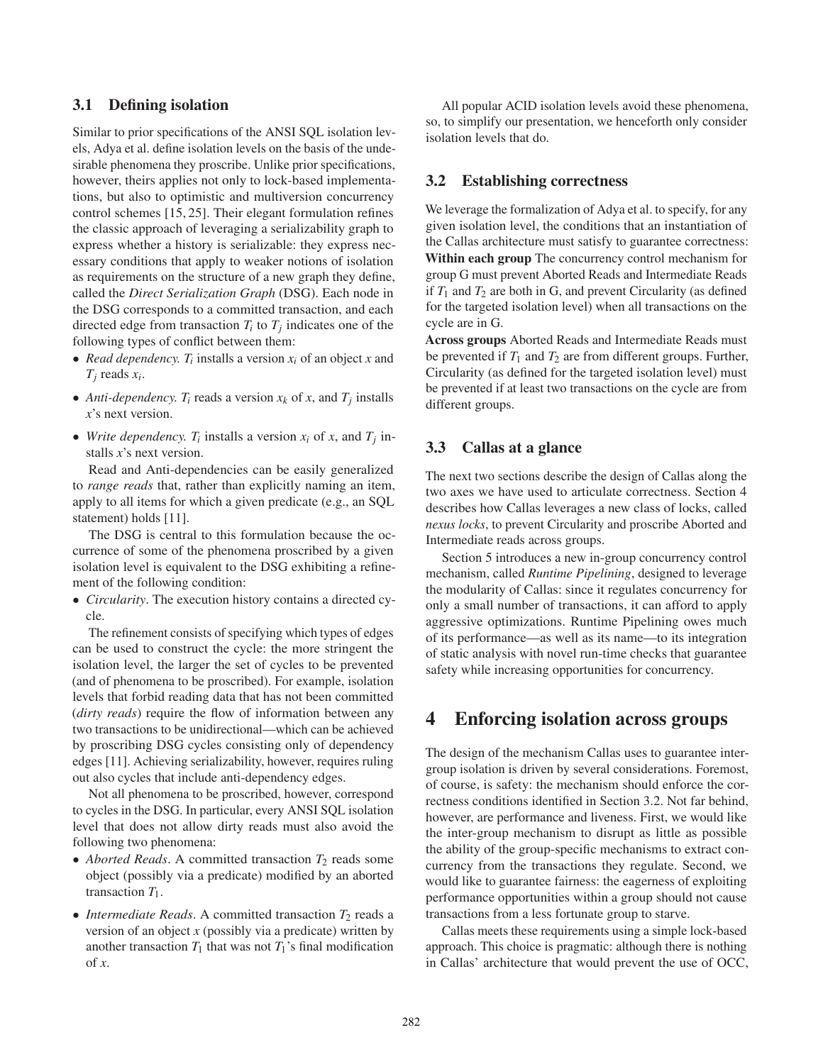#### 3.1 Defining isolation

Similar to prior specifications of the ANSI SQL isolation levels, Adya et al. define isolation levels on the basis of the undesirable phenomena they proscribe. Unlike prior specifications, however, theirs applies not only to lock-based implementations, but also to optimistic and multiversion concurrency control schemes [15, 25]. Their elegant formulation refines the classic approach of leveraging a serializability graph to express whether a history is serializable: they express necessary conditions that apply to weaker notions of isolation as requirements on the structure of a new graph they define, called the *Direct Serialization Graph* (DSG). Each node in the DSG corresponds to a committed transaction, and each directed edge from transaction  $T_i$  to  $T_j$  indicates one of the following types of conflict between them:

- *Read dependency.*  $T_i$  installs a version  $x_i$  of an object  $x$  and *Tj* reads *xi*.
- *Anti-dependency.*  $T_i$  reads a version  $x_k$  of  $x$ , and  $T_j$  installs *x*'s next version.
- *Write dependency.*  $T_i$  installs a version  $x_i$  of  $x$ , and  $T_j$  installs *x*'s next version.

Read and Anti-dependencies can be easily generalized to *range reads* that, rather than explicitly naming an item, apply to all items for which a given predicate (e.g., an SQL statement) holds [11].

The DSG is central to this formulation because the occurrence of some of the phenomena proscribed by a given isolation level is equivalent to the DSG exhibiting a refinement of the following condition:

• *Circularity*. The execution history contains a directed cycle.

The refinement consists of specifying which types of edges can be used to construct the cycle: the more stringent the isolation level, the larger the set of cycles to be prevented (and of phenomena to be proscribed). For example, isolation levels that forbid reading data that has not been committed (*dirty reads*) require the flow of information between any two transactions to be unidirectional—which can be achieved by proscribing DSG cycles consisting only of dependency edges [11]. Achieving serializability, however, requires ruling out also cycles that include anti-dependency edges.

Not all phenomena to be proscribed, however, correspond to cycles in the DSG. In particular, every ANSI SQL isolation level that does not allow dirty reads must also avoid the following two phenomena:

- *Aborted Reads.* A committed transaction  $T_2$  reads some object (possibly via a predicate) modified by an aborted transaction *T*1.
- *Intermediate Reads*. A committed transaction  $T_2$  reads a version of an object *x* (possibly via a predicate) written by another transaction  $T_1$  that was not  $T_1$ 's final modification of *x*.

All popular ACID isolation levels avoid these phenomena, so, to simplify our presentation, we henceforth only consider isolation levels that do.

#### 3.2 Establishing correctness

We leverage the formalization of Adya et al. to specify, for any given isolation level, the conditions that an instantiation of the Callas architecture must satisfy to guarantee correctness: Within each group The concurrency control mechanism for group G must prevent Aborted Reads and Intermediate Reads if  $T_1$  and  $T_2$  are both in G, and prevent Circularity (as defined for the targeted isolation level) when all transactions on the cycle are in G.

Across groups Aborted Reads and Intermediate Reads must be prevented if  $T_1$  and  $T_2$  are from different groups. Further, Circularity (as defined for the targeted isolation level) must be prevented if at least two transactions on the cycle are from different groups.

### 3.3 Callas at a glance

The next two sections describe the design of Callas along the two axes we have used to articulate correctness. Section 4 describes how Callas leverages a new class of locks, called *nexus locks*, to prevent Circularity and proscribe Aborted and Intermediate reads across groups.

Section 5 introduces a new in-group concurrency control mechanism, called *Runtime Pipelining*, designed to leverage the modularity of Callas: since it regulates concurrency for only a small number of transactions, it can afford to apply aggressive optimizations. Runtime Pipelining owes much of its performance—as well as its name—to its integration of static analysis with novel run-time checks that guarantee safety while increasing opportunities for concurrency.

### 4 Enforcing isolation across groups

The design of the mechanism Callas uses to guarantee intergroup isolation is driven by several considerations. Foremost, of course, is safety: the mechanism should enforce the correctness conditions identified in Section 3.2. Not far behind, however, are performance and liveness. First, we would like the inter-group mechanism to disrupt as little as possible the ability of the group-specific mechanisms to extract concurrency from the transactions they regulate. Second, we would like to guarantee fairness: the eagerness of exploiting performance opportunities within a group should not cause transactions from a less fortunate group to starve.

Callas meets these requirements using a simple lock-based approach. This choice is pragmatic: although there is nothing in Callas' architecture that would prevent the use of OCC,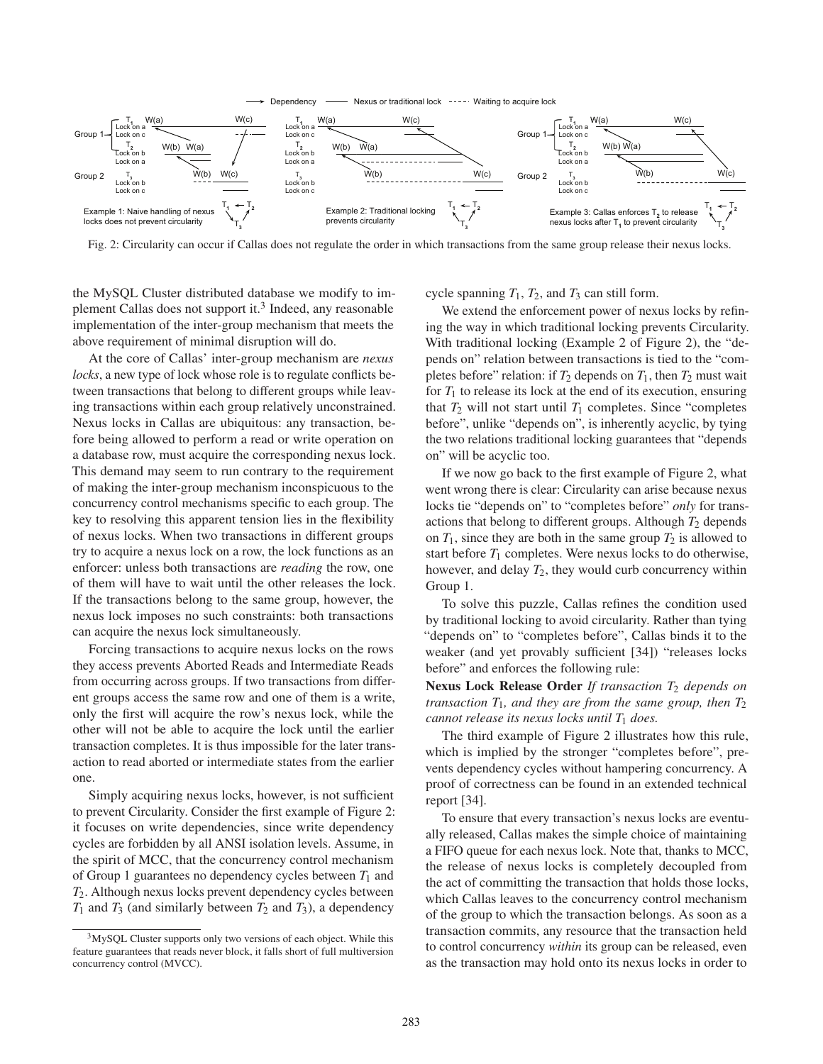

Fig. 2: Circularity can occur if Callas does not regulate the order in which transactions from the same group release their nexus locks.

the MySQL Cluster distributed database we modify to implement Callas does not support it.<sup>3</sup> Indeed, any reasonable implementation of the inter-group mechanism that meets the above requirement of minimal disruption will do.

At the core of Callas' inter-group mechanism are *nexus locks*, a new type of lock whose role is to regulate conflicts between transactions that belong to different groups while leaving transactions within each group relatively unconstrained. Nexus locks in Callas are ubiquitous: any transaction, before being allowed to perform a read or write operation on a database row, must acquire the corresponding nexus lock. This demand may seem to run contrary to the requirement of making the inter-group mechanism inconspicuous to the concurrency control mechanisms specific to each group. The key to resolving this apparent tension lies in the flexibility of nexus locks. When two transactions in different groups try to acquire a nexus lock on a row, the lock functions as an enforcer: unless both transactions are *reading* the row, one of them will have to wait until the other releases the lock. If the transactions belong to the same group, however, the nexus lock imposes no such constraints: both transactions can acquire the nexus lock simultaneously.

Forcing transactions to acquire nexus locks on the rows they access prevents Aborted Reads and Intermediate Reads from occurring across groups. If two transactions from different groups access the same row and one of them is a write, only the first will acquire the row's nexus lock, while the other will not be able to acquire the lock until the earlier transaction completes. It is thus impossible for the later transaction to read aborted or intermediate states from the earlier one.

Simply acquiring nexus locks, however, is not sufficient to prevent Circularity. Consider the first example of Figure 2: it focuses on write dependencies, since write dependency cycles are forbidden by all ANSI isolation levels. Assume, in the spirit of MCC, that the concurrency control mechanism of Group 1 guarantees no dependency cycles between  $T_1$  and *T*2. Although nexus locks prevent dependency cycles between  $T_1$  and  $T_3$  (and similarly between  $T_2$  and  $T_3$ ), a dependency

cycle spanning  $T_1$ ,  $T_2$ , and  $T_3$  can still form.

We extend the enforcement power of nexus locks by refining the way in which traditional locking prevents Circularity. With traditional locking (Example 2 of Figure 2), the "depends on" relation between transactions is tied to the "completes before" relation: if  $T_2$  depends on  $T_1$ , then  $T_2$  must wait for  $T_1$  to release its lock at the end of its execution, ensuring that  $T_2$  will not start until  $T_1$  completes. Since "completes" before", unlike "depends on", is inherently acyclic, by tying the two relations traditional locking guarantees that "depends on" will be acyclic too.

If we now go back to the first example of Figure 2, what went wrong there is clear: Circularity can arise because nexus locks tie "depends on" to "completes before" *only* for transactions that belong to different groups. Although  $T_2$  depends on  $T_1$ , since they are both in the same group  $T_2$  is allowed to start before  $T_1$  completes. Were nexus locks to do otherwise, however, and delay *T*2, they would curb concurrency within Group 1.

To solve this puzzle, Callas refines the condition used by traditional locking to avoid circularity. Rather than tying "depends on" to "completes before", Callas binds it to the weaker (and yet provably sufficient [34]) "releases locks before" and enforces the following rule:

Nexus Lock Release Order *If transaction*  $T_2$  *depends on transaction*  $T_1$ *, and they are from the same group, then*  $T_2$ *cannot release its nexus locks until T*<sup>1</sup> *does.*

The third example of Figure 2 illustrates how this rule, which is implied by the stronger "completes before", prevents dependency cycles without hampering concurrency. A proof of correctness can be found in an extended technical report [34].

To ensure that every transaction's nexus locks are eventually released, Callas makes the simple choice of maintaining a FIFO queue for each nexus lock. Note that, thanks to MCC, the release of nexus locks is completely decoupled from the act of committing the transaction that holds those locks, which Callas leaves to the concurrency control mechanism of the group to which the transaction belongs. As soon as a transaction commits, any resource that the transaction held to control concurrency *within* its group can be released, even as the transaction may hold onto its nexus locks in order to

<sup>&</sup>lt;sup>3</sup>MySQL Cluster supports only two versions of each object. While this feature guarantees that reads never block, it falls short of full multiversion concurrency control (MVCC).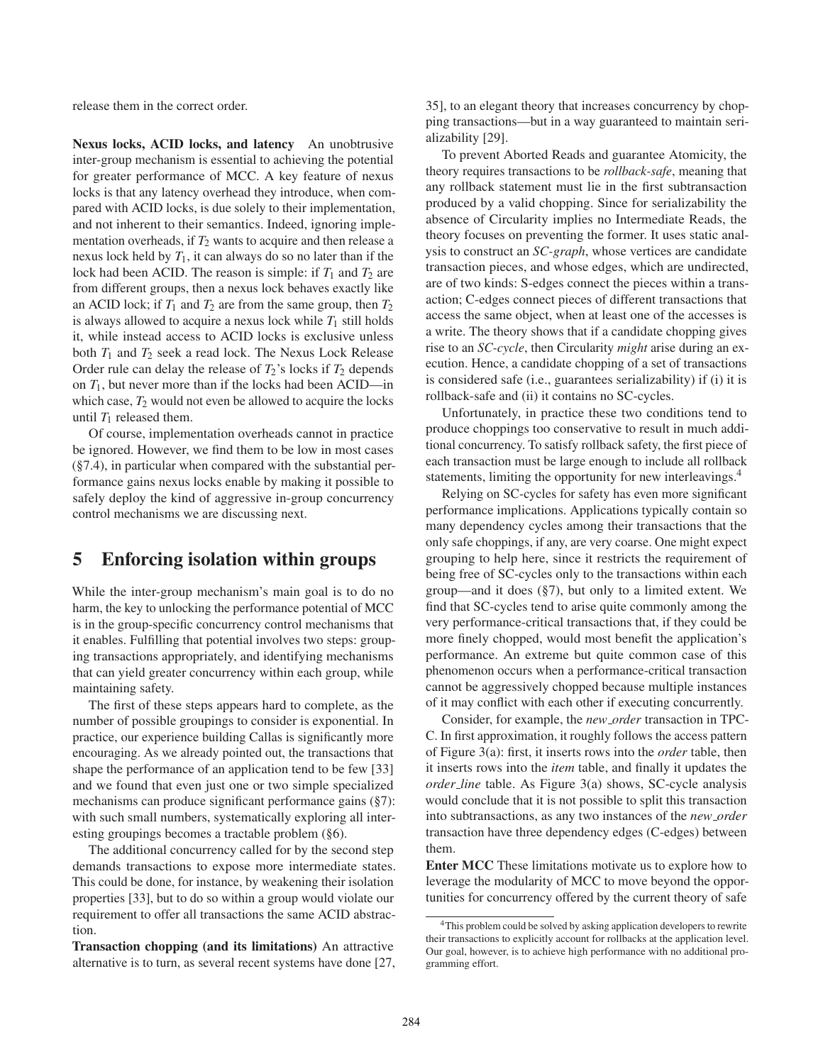release them in the correct order.

Nexus locks, ACID locks, and latency An unobtrusive inter-group mechanism is essential to achieving the potential for greater performance of MCC. A key feature of nexus locks is that any latency overhead they introduce, when compared with ACID locks, is due solely to their implementation, and not inherent to their semantics. Indeed, ignoring implementation overheads, if  $T_2$  wants to acquire and then release a nexus lock held by  $T_1$ , it can always do so no later than if the lock had been ACID. The reason is simple: if  $T_1$  and  $T_2$  are from different groups, then a nexus lock behaves exactly like an ACID lock; if  $T_1$  and  $T_2$  are from the same group, then  $T_2$ is always allowed to acquire a nexus lock while  $T_1$  still holds it, while instead access to ACID locks is exclusive unless both *T*<sup>1</sup> and *T*<sup>2</sup> seek a read lock. The Nexus Lock Release Order rule can delay the release of  $T_2$ 's locks if  $T_2$  depends on  $T_1$ , but never more than if the locks had been ACID—in which case,  $T_2$  would not even be allowed to acquire the locks until  $T_1$  released them.

Of course, implementation overheads cannot in practice be ignored. However, we find them to be low in most cases (§7.4), in particular when compared with the substantial performance gains nexus locks enable by making it possible to safely deploy the kind of aggressive in-group concurrency control mechanisms we are discussing next.

# 5 Enforcing isolation within groups

While the inter-group mechanism's main goal is to do no harm, the key to unlocking the performance potential of MCC is in the group-specific concurrency control mechanisms that it enables. Fulfilling that potential involves two steps: grouping transactions appropriately, and identifying mechanisms that can yield greater concurrency within each group, while maintaining safety.

The first of these steps appears hard to complete, as the number of possible groupings to consider is exponential. In practice, our experience building Callas is significantly more encouraging. As we already pointed out, the transactions that shape the performance of an application tend to be few [33] and we found that even just one or two simple specialized mechanisms can produce significant performance gains (§7): with such small numbers, systematically exploring all interesting groupings becomes a tractable problem (§6).

The additional concurrency called for by the second step demands transactions to expose more intermediate states. This could be done, for instance, by weakening their isolation properties [33], but to do so within a group would violate our requirement to offer all transactions the same ACID abstraction.

Transaction chopping (and its limitations) An attractive alternative is to turn, as several recent systems have done [27, 35], to an elegant theory that increases concurrency by chopping transactions—but in a way guaranteed to maintain serializability [29].

To prevent Aborted Reads and guarantee Atomicity, the theory requires transactions to be *rollback-safe*, meaning that any rollback statement must lie in the first subtransaction produced by a valid chopping. Since for serializability the absence of Circularity implies no Intermediate Reads, the theory focuses on preventing the former. It uses static analysis to construct an *SC-graph*, whose vertices are candidate transaction pieces, and whose edges, which are undirected, are of two kinds: S-edges connect the pieces within a transaction; C-edges connect pieces of different transactions that access the same object, when at least one of the accesses is a write. The theory shows that if a candidate chopping gives rise to an *SC-cycle*, then Circularity *might* arise during an execution. Hence, a candidate chopping of a set of transactions is considered safe (i.e., guarantees serializability) if (i) it is rollback-safe and (ii) it contains no SC-cycles.

Unfortunately, in practice these two conditions tend to produce choppings too conservative to result in much additional concurrency. To satisfy rollback safety, the first piece of each transaction must be large enough to include all rollback statements, limiting the opportunity for new interleavings.<sup>4</sup>

Relying on SC-cycles for safety has even more significant performance implications. Applications typically contain so many dependency cycles among their transactions that the only safe choppings, if any, are very coarse. One might expect grouping to help here, since it restricts the requirement of being free of SC-cycles only to the transactions within each group—and it does (§7), but only to a limited extent. We find that SC-cycles tend to arise quite commonly among the very performance-critical transactions that, if they could be more finely chopped, would most benefit the application's performance. An extreme but quite common case of this phenomenon occurs when a performance-critical transaction cannot be aggressively chopped because multiple instances of it may conflict with each other if executing concurrently.

Consider, for example, the *new order* transaction in TPC-C. In first approximation, it roughly follows the access pattern of Figure 3(a): first, it inserts rows into the *order* table, then it inserts rows into the *item* table, and finally it updates the *order\_line* table. As Figure 3(a) shows, SC-cycle analysis would conclude that it is not possible to split this transaction into subtransactions, as any two instances of the *new order* transaction have three dependency edges (C-edges) between them.

Enter MCC These limitations motivate us to explore how to leverage the modularity of MCC to move beyond the opportunities for concurrency offered by the current theory of safe

<sup>&</sup>lt;sup>4</sup>This problem could be solved by asking application developers to rewrite their transactions to explicitly account for rollbacks at the application level. Our goal, however, is to achieve high performance with no additional programming effort.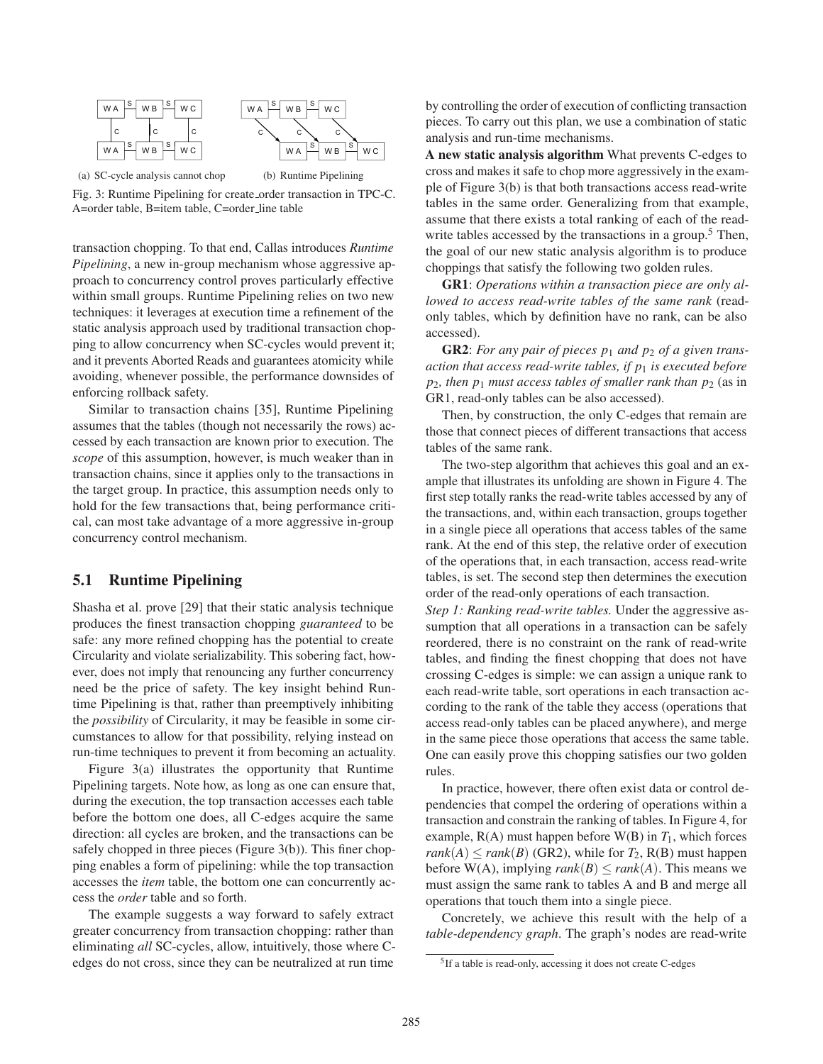

Fig. 3: Runtime Pipelining for create order transaction in TPC-C. A=order table, B=item table, C=order line table

transaction chopping. To that end, Callas introduces *Runtime Pipelining*, a new in-group mechanism whose aggressive approach to concurrency control proves particularly effective within small groups. Runtime Pipelining relies on two new techniques: it leverages at execution time a refinement of the static analysis approach used by traditional transaction chopping to allow concurrency when SC-cycles would prevent it; and it prevents Aborted Reads and guarantees atomicity while avoiding, whenever possible, the performance downsides of enforcing rollback safety.

Similar to transaction chains [35], Runtime Pipelining assumes that the tables (though not necessarily the rows) accessed by each transaction are known prior to execution. The *scope* of this assumption, however, is much weaker than in transaction chains, since it applies only to the transactions in the target group. In practice, this assumption needs only to hold for the few transactions that, being performance critical, can most take advantage of a more aggressive in-group concurrency control mechanism.

### 5.1 Runtime Pipelining

Shasha et al. prove [29] that their static analysis technique produces the finest transaction chopping *guaranteed* to be safe: any more refined chopping has the potential to create Circularity and violate serializability. This sobering fact, however, does not imply that renouncing any further concurrency need be the price of safety. The key insight behind Runtime Pipelining is that, rather than preemptively inhibiting the *possibility* of Circularity, it may be feasible in some circumstances to allow for that possibility, relying instead on run-time techniques to prevent it from becoming an actuality.

Figure 3(a) illustrates the opportunity that Runtime Pipelining targets. Note how, as long as one can ensure that, during the execution, the top transaction accesses each table before the bottom one does, all C-edges acquire the same direction: all cycles are broken, and the transactions can be safely chopped in three pieces (Figure 3(b)). This finer chopping enables a form of pipelining: while the top transaction accesses the *item* table, the bottom one can concurrently access the *order* table and so forth.

The example suggests a way forward to safely extract greater concurrency from transaction chopping: rather than eliminating *all* SC-cycles, allow, intuitively, those where Cedges do not cross, since they can be neutralized at run time

by controlling the order of execution of conflicting transaction pieces. To carry out this plan, we use a combination of static analysis and run-time mechanisms.

A new static analysis algorithm What prevents C-edges to cross and makes it safe to chop more aggressively in the example of Figure 3(b) is that both transactions access read-write tables in the same order. Generalizing from that example, assume that there exists a total ranking of each of the readwrite tables accessed by the transactions in a group.<sup>5</sup> Then, the goal of our new static analysis algorithm is to produce choppings that satisfy the following two golden rules.

GR1: *Operations within a transaction piece are only allowed to access read-write tables of the same rank* (readonly tables, which by definition have no rank, can be also accessed).

GR2: *For any pair of pieces p*<sup>1</sup> *and p*<sup>2</sup> *of a given transaction that access read-write tables, if p*<sup>1</sup> *is executed before*  $p_2$ , then  $p_1$  *must access tables of smaller rank than*  $p_2$  (as in GR1, read-only tables can be also accessed).

Then, by construction, the only C-edges that remain are those that connect pieces of different transactions that access tables of the same rank.

The two-step algorithm that achieves this goal and an example that illustrates its unfolding are shown in Figure 4. The first step totally ranks the read-write tables accessed by any of the transactions, and, within each transaction, groups together in a single piece all operations that access tables of the same rank. At the end of this step, the relative order of execution of the operations that, in each transaction, access read-write tables, is set. The second step then determines the execution order of the read-only operations of each transaction.

*Step 1: Ranking read-write tables.* Under the aggressive assumption that all operations in a transaction can be safely reordered, there is no constraint on the rank of read-write tables, and finding the finest chopping that does not have crossing C-edges is simple: we can assign a unique rank to each read-write table, sort operations in each transaction according to the rank of the table they access (operations that access read-only tables can be placed anywhere), and merge in the same piece those operations that access the same table. One can easily prove this chopping satisfies our two golden rules.

In practice, however, there often exist data or control dependencies that compel the ordering of operations within a transaction and constrain the ranking of tables. In Figure 4, for example,  $R(A)$  must happen before W(B) in  $T_1$ , which forces  $rank(A) \leq rank(B)$  (GR2), while for  $T_2$ , R(B) must happen before W(A), implying  $rank(B) \leq rank(A)$ . This means we must assign the same rank to tables A and B and merge all operations that touch them into a single piece.

Concretely, we achieve this result with the help of a *table-dependency graph*. The graph's nodes are read-write

<sup>&</sup>lt;sup>5</sup>If a table is read-only, accessing it does not create C-edges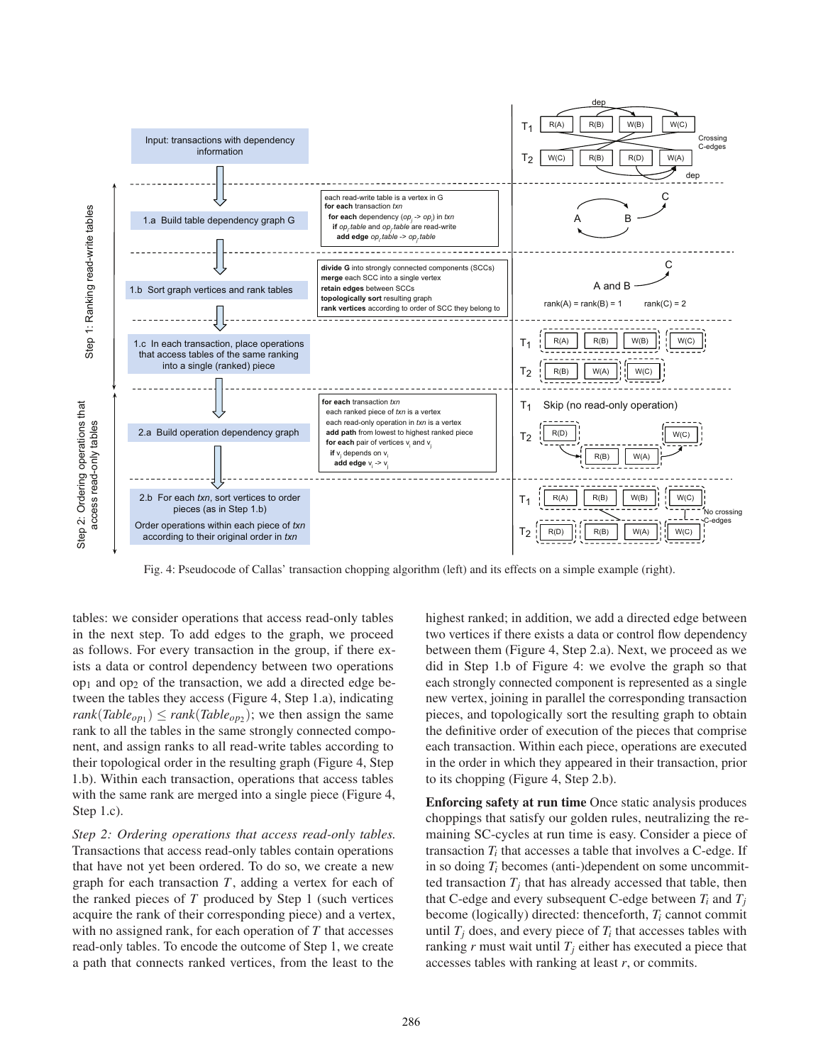

Fig. 4: Pseudocode of Callas' transaction chopping algorithm (left) and its effects on a simple example (right).

tables: we consider operations that access read-only tables in the next step. To add edges to the graph, we proceed as follows. For every transaction in the group, if there exists a data or control dependency between two operations  $op<sub>1</sub>$  and  $op<sub>2</sub>$  of the transaction, we add a directed edge between the tables they access (Figure 4, Step 1.a), indicating  $rank(Table<sub>op1</sub>) \leq rank(Table<sub>op2</sub>)$ ; we then assign the same rank to all the tables in the same strongly connected component, and assign ranks to all read-write tables according to their topological order in the resulting graph (Figure 4, Step 1.b). Within each transaction, operations that access tables with the same rank are merged into a single piece (Figure 4, Step 1.c).

*Step 2: Ordering operations that access read-only tables.* Transactions that access read-only tables contain operations that have not yet been ordered. To do so, we create a new graph for each transaction *T*, adding a vertex for each of the ranked pieces of *T* produced by Step 1 (such vertices acquire the rank of their corresponding piece) and a vertex, with no assigned rank, for each operation of *T* that accesses read-only tables. To encode the outcome of Step 1, we create a path that connects ranked vertices, from the least to the highest ranked; in addition, we add a directed edge between two vertices if there exists a data or control flow dependency between them (Figure 4, Step 2.a). Next, we proceed as we did in Step 1.b of Figure 4: we evolve the graph so that each strongly connected component is represented as a single new vertex, joining in parallel the corresponding transaction pieces, and topologically sort the resulting graph to obtain the definitive order of execution of the pieces that comprise each transaction. Within each piece, operations are executed in the order in which they appeared in their transaction, prior to its chopping (Figure 4, Step 2.b).

Enforcing safety at run time Once static analysis produces choppings that satisfy our golden rules, neutralizing the remaining SC-cycles at run time is easy. Consider a piece of transaction  $T_i$  that accesses a table that involves a C-edge. If in so doing *Ti* becomes (anti-)dependent on some uncommitted transaction  $T_i$  that has already accessed that table, then that C-edge and every subsequent C-edge between  $T_i$  and  $T_j$ become (logically) directed: thenceforth, *Ti* cannot commit until  $T_i$  does, and every piece of  $T_i$  that accesses tables with ranking  $r$  must wait until  $T_i$  either has executed a piece that accesses tables with ranking at least *r*, or commits.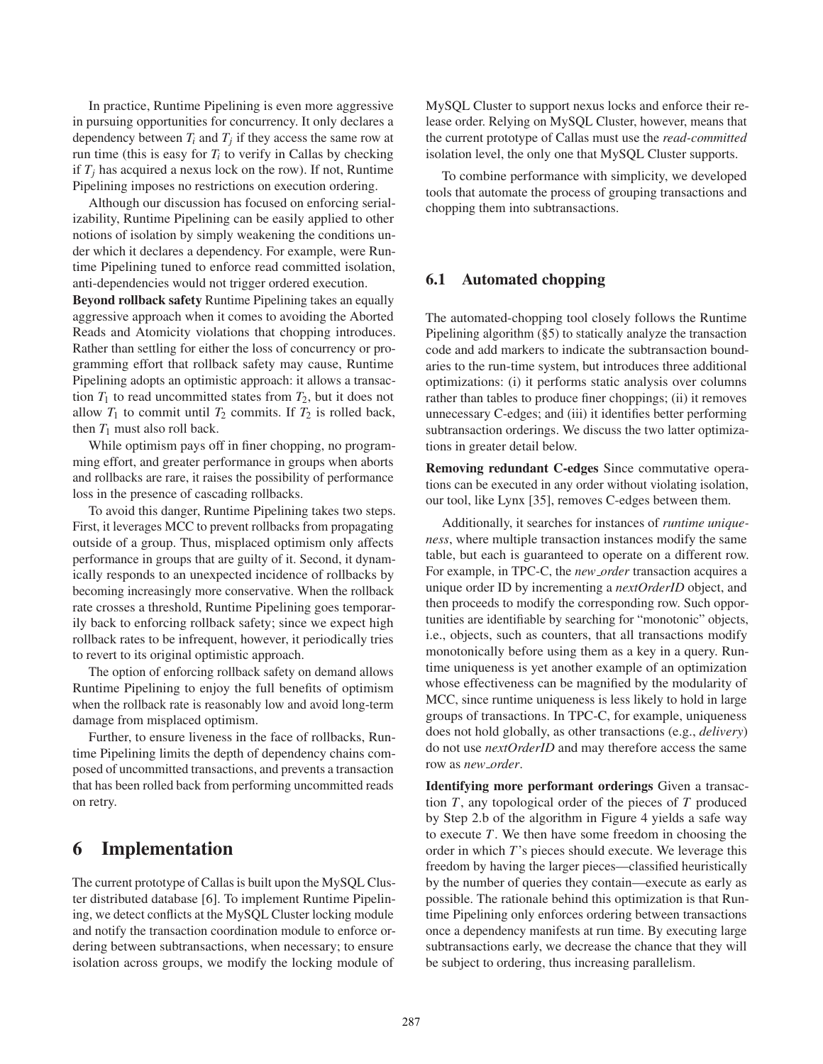In practice, Runtime Pipelining is even more aggressive in pursuing opportunities for concurrency. It only declares a dependency between  $T_i$  and  $T_j$  if they access the same row at run time (this is easy for  $T_i$  to verify in Callas by checking if  $T_i$  has acquired a nexus lock on the row). If not, Runtime Pipelining imposes no restrictions on execution ordering.

Although our discussion has focused on enforcing serializability, Runtime Pipelining can be easily applied to other notions of isolation by simply weakening the conditions under which it declares a dependency. For example, were Runtime Pipelining tuned to enforce read committed isolation, anti-dependencies would not trigger ordered execution.

Beyond rollback safety Runtime Pipelining takes an equally aggressive approach when it comes to avoiding the Aborted Reads and Atomicity violations that chopping introduces. Rather than settling for either the loss of concurrency or programming effort that rollback safety may cause, Runtime Pipelining adopts an optimistic approach: it allows a transaction  $T_1$  to read uncommitted states from  $T_2$ , but it does not allow  $T_1$  to commit until  $T_2$  commits. If  $T_2$  is rolled back, then  $T_1$  must also roll back.

While optimism pays off in finer chopping, no programming effort, and greater performance in groups when aborts and rollbacks are rare, it raises the possibility of performance loss in the presence of cascading rollbacks.

To avoid this danger, Runtime Pipelining takes two steps. First, it leverages MCC to prevent rollbacks from propagating outside of a group. Thus, misplaced optimism only affects performance in groups that are guilty of it. Second, it dynamically responds to an unexpected incidence of rollbacks by becoming increasingly more conservative. When the rollback rate crosses a threshold, Runtime Pipelining goes temporarily back to enforcing rollback safety; since we expect high rollback rates to be infrequent, however, it periodically tries to revert to its original optimistic approach.

The option of enforcing rollback safety on demand allows Runtime Pipelining to enjoy the full benefits of optimism when the rollback rate is reasonably low and avoid long-term damage from misplaced optimism.

Further, to ensure liveness in the face of rollbacks, Runtime Pipelining limits the depth of dependency chains composed of uncommitted transactions, and prevents a transaction that has been rolled back from performing uncommitted reads on retry.

### 6 Implementation

The current prototype of Callas is built upon the MySQL Cluster distributed database [6]. To implement Runtime Pipelining, we detect conflicts at the MySQL Cluster locking module and notify the transaction coordination module to enforce ordering between subtransactions, when necessary; to ensure isolation across groups, we modify the locking module of MySQL Cluster to support nexus locks and enforce their release order. Relying on MySQL Cluster, however, means that the current prototype of Callas must use the *read-committed* isolation level, the only one that MySQL Cluster supports.

To combine performance with simplicity, we developed tools that automate the process of grouping transactions and chopping them into subtransactions.

### 6.1 Automated chopping

The automated-chopping tool closely follows the Runtime Pipelining algorithm (§5) to statically analyze the transaction code and add markers to indicate the subtransaction boundaries to the run-time system, but introduces three additional optimizations: (i) it performs static analysis over columns rather than tables to produce finer choppings; (ii) it removes unnecessary C-edges; and (iii) it identifies better performing subtransaction orderings. We discuss the two latter optimizations in greater detail below.

Removing redundant C-edges Since commutative operations can be executed in any order without violating isolation, our tool, like Lynx [35], removes C-edges between them.

Additionally, it searches for instances of *runtime uniqueness*, where multiple transaction instances modify the same table, but each is guaranteed to operate on a different row. For example, in TPC-C, the *new order* transaction acquires a unique order ID by incrementing a *nextOrderID* object, and then proceeds to modify the corresponding row. Such opportunities are identifiable by searching for "monotonic" objects, i.e., objects, such as counters, that all transactions modify monotonically before using them as a key in a query. Runtime uniqueness is yet another example of an optimization whose effectiveness can be magnified by the modularity of MCC, since runtime uniqueness is less likely to hold in large groups of transactions. In TPC-C, for example, uniqueness does not hold globally, as other transactions (e.g., *delivery*) do not use *nextOrderID* and may therefore access the same row as *new order*.

Identifying more performant orderings Given a transaction *T*, any topological order of the pieces of *T* produced by Step 2.b of the algorithm in Figure 4 yields a safe way to execute *T*. We then have some freedom in choosing the order in which *T*'s pieces should execute. We leverage this freedom by having the larger pieces—classified heuristically by the number of queries they contain—execute as early as possible. The rationale behind this optimization is that Runtime Pipelining only enforces ordering between transactions once a dependency manifests at run time. By executing large subtransactions early, we decrease the chance that they will be subject to ordering, thus increasing parallelism.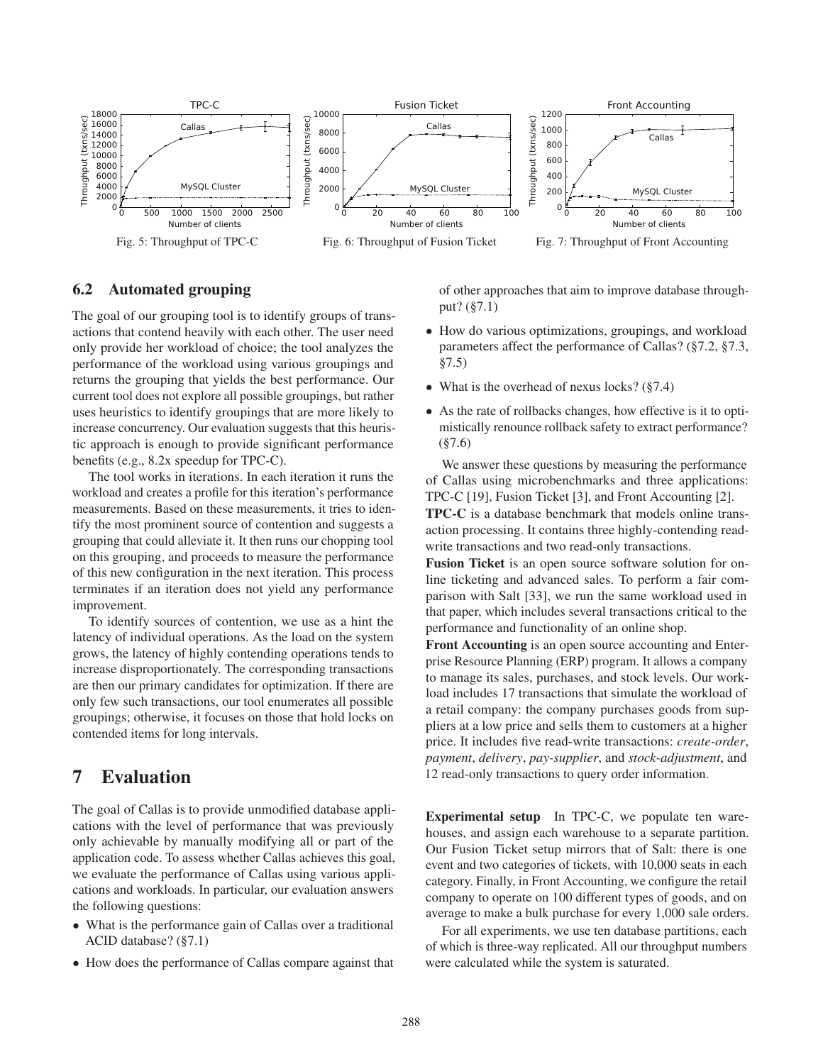

6.2 Automated grouping

The goal of our grouping tool is to identify groups of transactions that contend heavily with each other. The user need only provide her workload of choice; the tool analyzes the performance of the workload using various groupings and returns the grouping that yields the best performance. Our current tool does not explore all possible groupings, but rather uses heuristics to identify groupings that are more likely to increase concurrency. Our evaluation suggests that this heuristic approach is enough to provide significant performance benefits (e.g., 8.2x speedup for TPC-C).

The tool works in iterations. In each iteration it runs the workload and creates a profile for this iteration's performance measurements. Based on these measurements, it tries to identify the most prominent source of contention and suggests a grouping that could alleviate it. It then runs our chopping tool on this grouping, and proceeds to measure the performance of this new configuration in the next iteration. This process terminates if an iteration does not yield any performance improvement.

To identify sources of contention, we use as a hint the latency of individual operations. As the load on the system grows, the latency of highly contending operations tends to increase disproportionately. The corresponding transactions are then our primary candidates for optimization. If there are only few such transactions, our tool enumerates all possible groupings; otherwise, it focuses on those that hold locks on contended items for long intervals.

# 7 Evaluation

The goal of Callas is to provide unmodified database applications with the level of performance that was previously only achievable by manually modifying all or part of the application code. To assess whether Callas achieves this goal, we evaluate the performance of Callas using various applications and workloads. In particular, our evaluation answers the following questions:

- What is the performance gain of Callas over a traditional ACID database? (§7.1)
- How does the performance of Callas compare against that

of other approaches that aim to improve database throughput? (§7.1)

- How do various optimizations, groupings, and workload parameters affect the performance of Callas? (§7.2, §7.3, §7.5)
- What is the overhead of nexus locks? (\$7.4)
- As the rate of rollbacks changes, how effective is it to optimistically renounce rollback safety to extract performance? (§7.6)

We answer these questions by measuring the performance of Callas using microbenchmarks and three applications: TPC-C [19], Fusion Ticket [3], and Front Accounting [2].

TPC-C is a database benchmark that models online transaction processing. It contains three highly-contending readwrite transactions and two read-only transactions.

Fusion Ticket is an open source software solution for online ticketing and advanced sales. To perform a fair comparison with Salt [33], we run the same workload used in that paper, which includes several transactions critical to the performance and functionality of an online shop.

Front Accounting is an open source accounting and Enterprise Resource Planning (ERP) program. It allows a company to manage its sales, purchases, and stock levels. Our workload includes 17 transactions that simulate the workload of a retail company: the company purchases goods from suppliers at a low price and sells them to customers at a higher price. It includes five read-write transactions: *create-order*, *payment*, *delivery*, *pay-supplier*, and *stock-adjustment*, and 12 read-only transactions to query order information.

Experimental setup In TPC-C, we populate ten warehouses, and assign each warehouse to a separate partition. Our Fusion Ticket setup mirrors that of Salt: there is one event and two categories of tickets, with 10,000 seats in each category. Finally, in Front Accounting, we configure the retail company to operate on 100 different types of goods, and on average to make a bulk purchase for every 1,000 sale orders.

For all experiments, we use ten database partitions, each of which is three-way replicated. All our throughput numbers were calculated while the system is saturated.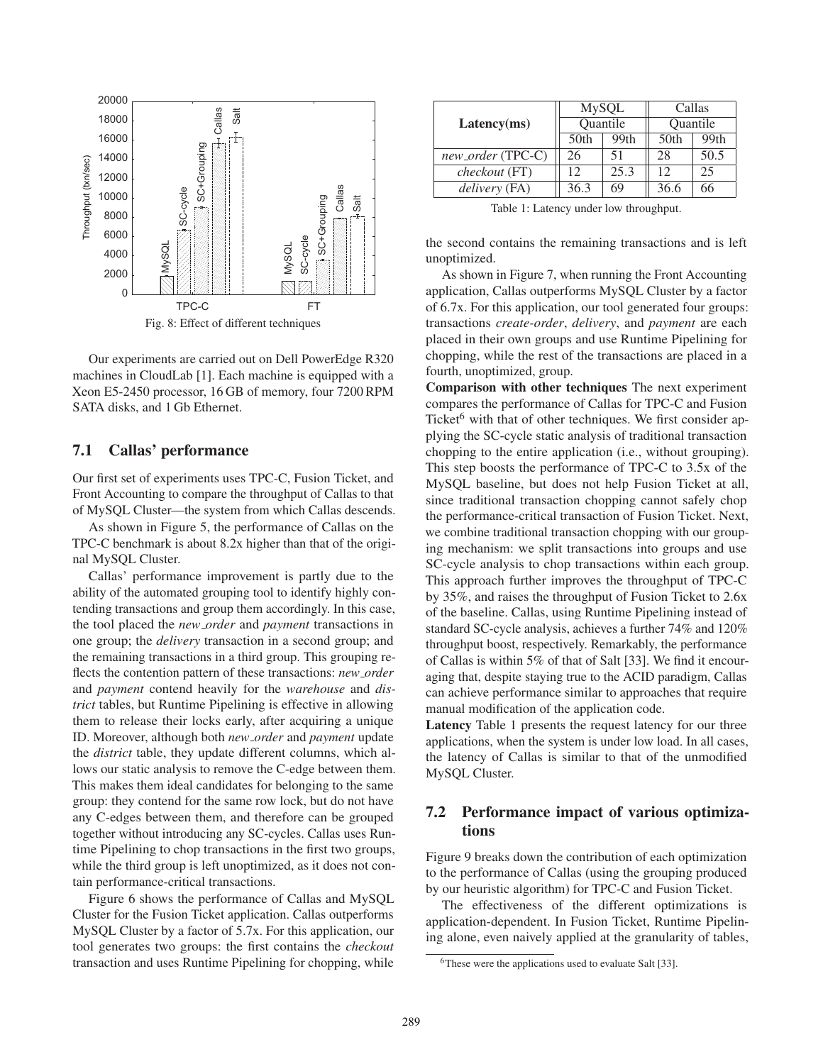

Our experiments are carried out on Dell PowerEdge R320 machines in CloudLab [1]. Each machine is equipped with a Xeon E5-2450 processor, 16 GB of memory, four 7200 RPM SATA disks, and 1 Gb Ethernet.

#### 7.1 Callas' performance

Our first set of experiments uses TPC-C, Fusion Ticket, and Front Accounting to compare the throughput of Callas to that of MySQL Cluster—the system from which Callas descends.

As shown in Figure 5, the performance of Callas on the TPC-C benchmark is about 8.2x higher than that of the original MySQL Cluster.

Callas' performance improvement is partly due to the ability of the automated grouping tool to identify highly contending transactions and group them accordingly. In this case, the tool placed the *new order* and *payment* transactions in one group; the *delivery* transaction in a second group; and the remaining transactions in a third group. This grouping reflects the contention pattern of these transactions: *new order* and *payment* contend heavily for the *warehouse* and *district* tables, but Runtime Pipelining is effective in allowing them to release their locks early, after acquiring a unique ID. Moreover, although both *new order* and *payment* update the *district* table, they update different columns, which allows our static analysis to remove the C-edge between them. This makes them ideal candidates for belonging to the same group: they contend for the same row lock, but do not have any C-edges between them, and therefore can be grouped together without introducing any SC-cycles. Callas uses Runtime Pipelining to chop transactions in the first two groups, while the third group is left unoptimized, as it does not contain performance-critical transactions.

Figure 6 shows the performance of Callas and MySQL Cluster for the Fusion Ticket application. Callas outperforms MySQL Cluster by a factor of 5.7x. For this application, our tool generates two groups: the first contains the *checkout* transaction and uses Runtime Pipelining for chopping, while

| Latency(ms)          | <b>MySQL</b>     |      | Callas           |      |
|----------------------|------------------|------|------------------|------|
|                      | Quantile         |      | Quantile         |      |
|                      | 50 <sub>th</sub> | 99th | 50 <sub>th</sub> | 99th |
| new_order (TPC-C)    | 26               | 51   | 28               | 50.5 |
| $checkout$ (FT)      | 12               | 25.3 | 12               | 25   |
| <i>delivery</i> (FA) | 36.3             | 69   | 36.6             | 66   |

Table 1: Latency under low throughput.

the second contains the remaining transactions and is left unoptimized.

As shown in Figure 7, when running the Front Accounting application, Callas outperforms MySQL Cluster by a factor of 6.7x. For this application, our tool generated four groups: transactions *create-order*, *delivery*, and *payment* are each placed in their own groups and use Runtime Pipelining for chopping, while the rest of the transactions are placed in a fourth, unoptimized, group.

Comparison with other techniques The next experiment compares the performance of Callas for TPC-C and Fusion Ticket $<sup>6</sup>$  with that of other techniques. We first consider ap-</sup> plying the SC-cycle static analysis of traditional transaction chopping to the entire application (i.e., without grouping). This step boosts the performance of TPC-C to 3.5x of the MySQL baseline, but does not help Fusion Ticket at all, since traditional transaction chopping cannot safely chop the performance-critical transaction of Fusion Ticket. Next, we combine traditional transaction chopping with our grouping mechanism: we split transactions into groups and use SC-cycle analysis to chop transactions within each group. This approach further improves the throughput of TPC-C by 35%, and raises the throughput of Fusion Ticket to 2.6x of the baseline. Callas, using Runtime Pipelining instead of standard SC-cycle analysis, achieves a further 74% and 120% throughput boost, respectively. Remarkably, the performance of Callas is within 5% of that of Salt [33]. We find it encouraging that, despite staying true to the ACID paradigm, Callas can achieve performance similar to approaches that require manual modification of the application code.

Latency Table 1 presents the request latency for our three applications, when the system is under low load. In all cases, the latency of Callas is similar to that of the unmodified MySQL Cluster.

### 7.2 Performance impact of various optimizations

Figure 9 breaks down the contribution of each optimization to the performance of Callas (using the grouping produced by our heuristic algorithm) for TPC-C and Fusion Ticket.

The effectiveness of the different optimizations is application-dependent. In Fusion Ticket, Runtime Pipelining alone, even naively applied at the granularity of tables,

<sup>&</sup>lt;sup>6</sup>These were the applications used to evaluate Salt [33].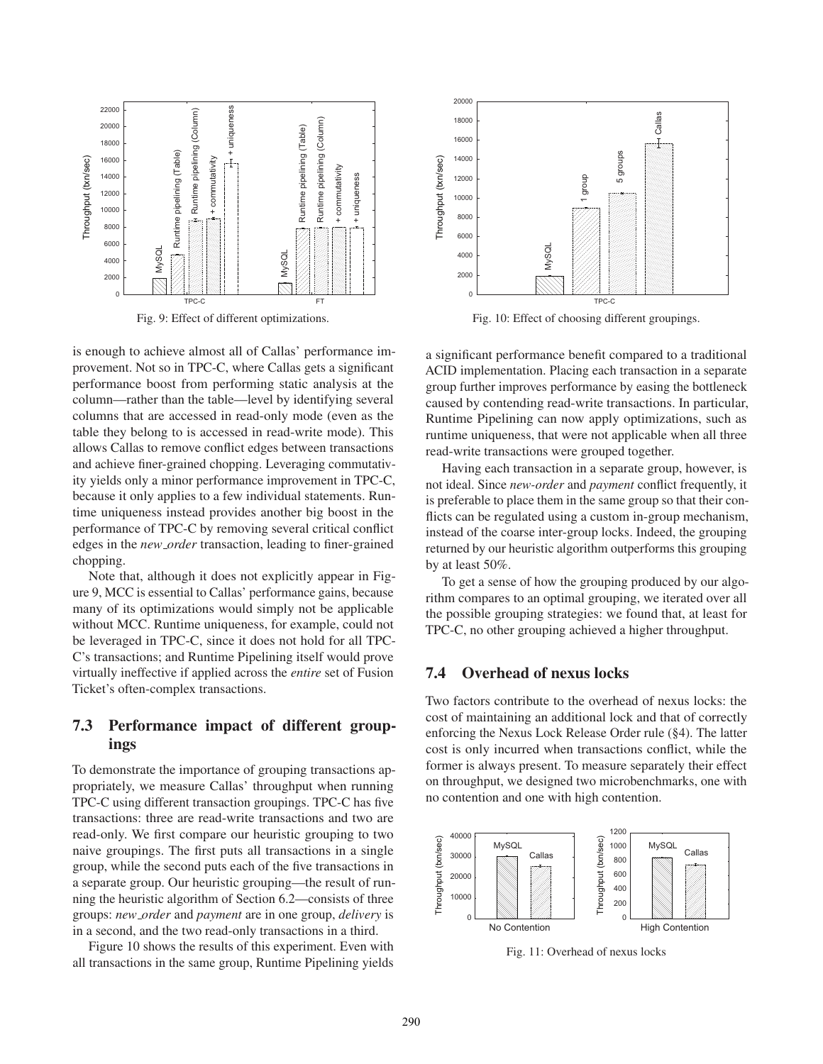

Fig. 9: Effect of different optimizations.

is enough to achieve almost all of Callas' performance improvement. Not so in TPC-C, where Callas gets a significant performance boost from performing static analysis at the column—rather than the table—level by identifying several columns that are accessed in read-only mode (even as the table they belong to is accessed in read-write mode). This allows Callas to remove conflict edges between transactions and achieve finer-grained chopping. Leveraging commutativity yields only a minor performance improvement in TPC-C, because it only applies to a few individual statements. Runtime uniqueness instead provides another big boost in the performance of TPC-C by removing several critical conflict edges in the *new order* transaction, leading to finer-grained chopping.

Note that, although it does not explicitly appear in Figure 9, MCC is essential to Callas' performance gains, because many of its optimizations would simply not be applicable without MCC. Runtime uniqueness, for example, could not be leveraged in TPC-C, since it does not hold for all TPC-C's transactions; and Runtime Pipelining itself would prove virtually ineffective if applied across the *entire* set of Fusion Ticket's often-complex transactions.

### 7.3 Performance impact of different groupings

To demonstrate the importance of grouping transactions appropriately, we measure Callas' throughput when running TPC-C using different transaction groupings. TPC-C has five transactions: three are read-write transactions and two are read-only. We first compare our heuristic grouping to two naive groupings. The first puts all transactions in a single group, while the second puts each of the five transactions in a separate group. Our heuristic grouping—the result of running the heuristic algorithm of Section 6.2—consists of three groups: *new order* and *payment* are in one group, *delivery* is in a second, and the two read-only transactions in a third.

Figure 10 shows the results of this experiment. Even with all transactions in the same group, Runtime Pipelining yields



Fig. 10: Effect of choosing different groupings.

a significant performance benefit compared to a traditional ACID implementation. Placing each transaction in a separate group further improves performance by easing the bottleneck caused by contending read-write transactions. In particular, Runtime Pipelining can now apply optimizations, such as runtime uniqueness, that were not applicable when all three read-write transactions were grouped together.

Having each transaction in a separate group, however, is not ideal. Since *new-order* and *payment* conflict frequently, it is preferable to place them in the same group so that their conflicts can be regulated using a custom in-group mechanism, instead of the coarse inter-group locks. Indeed, the grouping returned by our heuristic algorithm outperforms this grouping by at least 50%.

To get a sense of how the grouping produced by our algorithm compares to an optimal grouping, we iterated over all the possible grouping strategies: we found that, at least for TPC-C, no other grouping achieved a higher throughput.

#### 7.4 Overhead of nexus locks

Two factors contribute to the overhead of nexus locks: the cost of maintaining an additional lock and that of correctly enforcing the Nexus Lock Release Order rule (§4). The latter cost is only incurred when transactions conflict, while the former is always present. To measure separately their effect on throughput, we designed two microbenchmarks, one with no contention and one with high contention.



Fig. 11: Overhead of nexus locks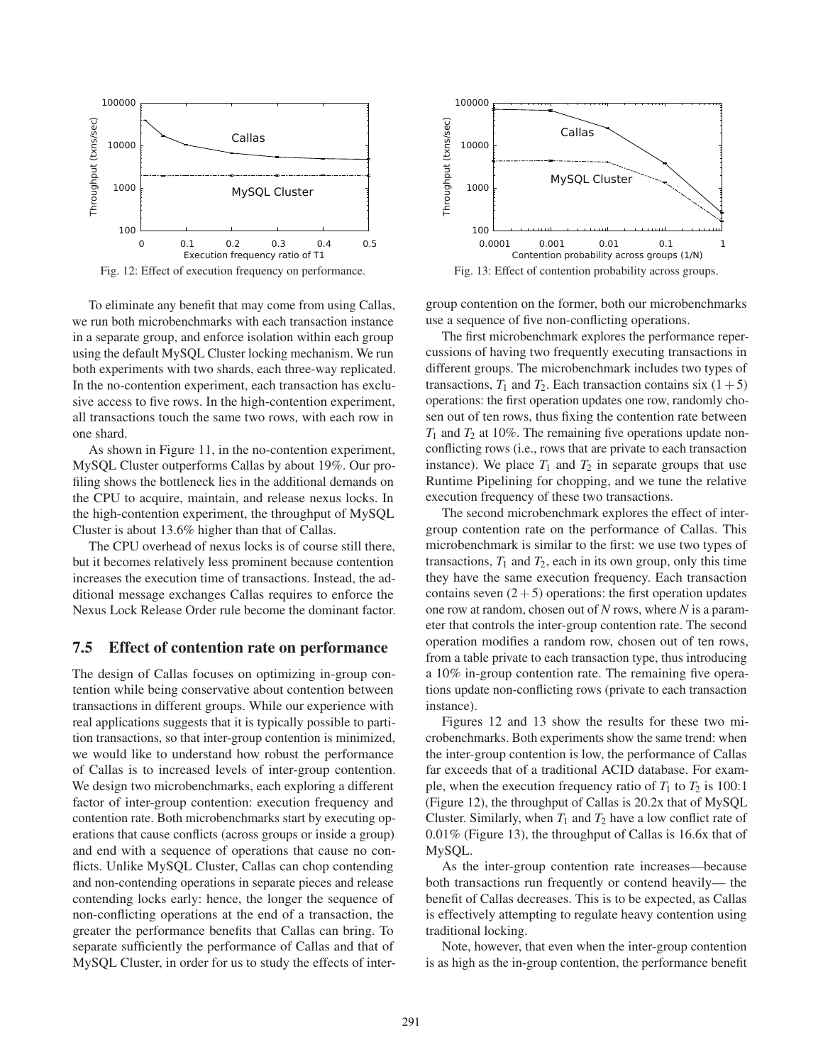

Fig. 12: Effect of execution frequency on performance.

To eliminate any benefit that may come from using Callas, we run both microbenchmarks with each transaction instance in a separate group, and enforce isolation within each group using the default MySQL Cluster locking mechanism. We run both experiments with two shards, each three-way replicated. In the no-contention experiment, each transaction has exclusive access to five rows. In the high-contention experiment, all transactions touch the same two rows, with each row in one shard.

As shown in Figure 11, in the no-contention experiment, MySQL Cluster outperforms Callas by about 19%. Our profiling shows the bottleneck lies in the additional demands on the CPU to acquire, maintain, and release nexus locks. In the high-contention experiment, the throughput of MySQL Cluster is about 13.6% higher than that of Callas.

The CPU overhead of nexus locks is of course still there, but it becomes relatively less prominent because contention increases the execution time of transactions. Instead, the additional message exchanges Callas requires to enforce the Nexus Lock Release Order rule become the dominant factor.

### 7.5 Effect of contention rate on performance

The design of Callas focuses on optimizing in-group contention while being conservative about contention between transactions in different groups. While our experience with real applications suggests that it is typically possible to partition transactions, so that inter-group contention is minimized, we would like to understand how robust the performance of Callas is to increased levels of inter-group contention. We design two microbenchmarks, each exploring a different factor of inter-group contention: execution frequency and contention rate. Both microbenchmarks start by executing operations that cause conflicts (across groups or inside a group) and end with a sequence of operations that cause no conflicts. Unlike MySQL Cluster, Callas can chop contending and non-contending operations in separate pieces and release contending locks early: hence, the longer the sequence of non-conflicting operations at the end of a transaction, the greater the performance benefits that Callas can bring. To separate sufficiently the performance of Callas and that of MySQL Cluster, in order for us to study the effects of inter-



group contention on the former, both our microbenchmarks use a sequence of five non-conflicting operations.

The first microbenchmark explores the performance repercussions of having two frequently executing transactions in different groups. The microbenchmark includes two types of transactions,  $T_1$  and  $T_2$ . Each transaction contains six  $(1+5)$ operations: the first operation updates one row, randomly chosen out of ten rows, thus fixing the contention rate between  $T_1$  and  $T_2$  at 10%. The remaining five operations update nonconflicting rows (i.e., rows that are private to each transaction instance). We place  $T_1$  and  $T_2$  in separate groups that use Runtime Pipelining for chopping, and we tune the relative execution frequency of these two transactions.

The second microbenchmark explores the effect of intergroup contention rate on the performance of Callas. This microbenchmark is similar to the first: we use two types of transactions,  $T_1$  and  $T_2$ , each in its own group, only this time they have the same execution frequency. Each transaction contains seven  $(2+5)$  operations: the first operation updates one row at random, chosen out of *N* rows, where *N* is a parameter that controls the inter-group contention rate. The second operation modifies a random row, chosen out of ten rows, from a table private to each transaction type, thus introducing a 10% in-group contention rate. The remaining five operations update non-conflicting rows (private to each transaction instance).

Figures 12 and 13 show the results for these two microbenchmarks. Both experiments show the same trend: when the inter-group contention is low, the performance of Callas far exceeds that of a traditional ACID database. For example, when the execution frequency ratio of  $T_1$  to  $T_2$  is 100:1 (Figure 12), the throughput of Callas is 20.2x that of MySQL Cluster. Similarly, when  $T_1$  and  $T_2$  have a low conflict rate of 0.01% (Figure 13), the throughput of Callas is 16.6x that of MySQL.

As the inter-group contention rate increases—because both transactions run frequently or contend heavily— the benefit of Callas decreases. This is to be expected, as Callas is effectively attempting to regulate heavy contention using traditional locking.

Note, however, that even when the inter-group contention is as high as the in-group contention, the performance benefit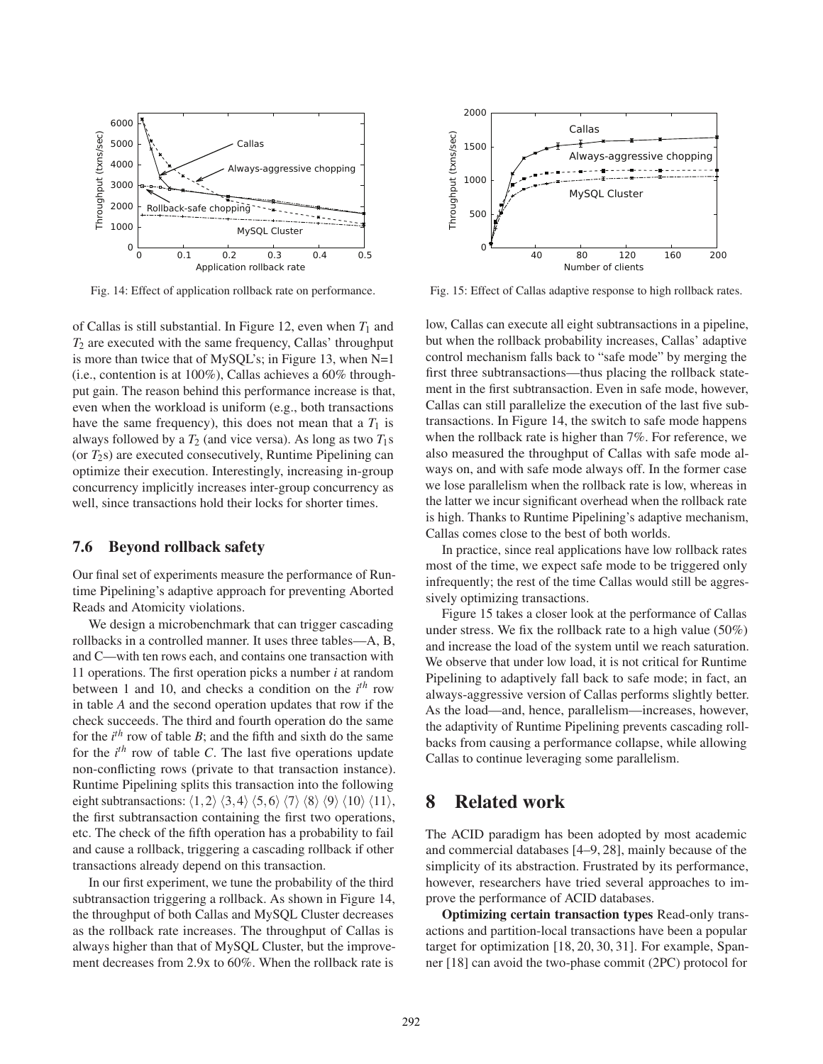

Fig. 14: Effect of application rollback rate on performance.

of Callas is still substantial. In Figure 12, even when  $T_1$  and *T*<sup>2</sup> are executed with the same frequency, Callas' throughput is more than twice that of MySQL's; in Figure 13, when N=1 (i.e., contention is at 100%), Callas achieves a 60% throughput gain. The reason behind this performance increase is that, even when the workload is uniform (e.g., both transactions have the same frequency), this does not mean that a  $T_1$  is always followed by a  $T_2$  (and vice versa). As long as two  $T_1$ s (or *T*2s) are executed consecutively, Runtime Pipelining can optimize their execution. Interestingly, increasing in-group concurrency implicitly increases inter-group concurrency as well, since transactions hold their locks for shorter times.

### 7.6 Beyond rollback safety

Our final set of experiments measure the performance of Runtime Pipelining's adaptive approach for preventing Aborted Reads and Atomicity violations.

We design a microbenchmark that can trigger cascading rollbacks in a controlled manner. It uses three tables—A, B, and C—with ten rows each, and contains one transaction with 11 operations. The first operation picks a number *i* at random between 1 and 10, and checks a condition on the  $i<sup>th</sup>$  row in table *A* and the second operation updates that row if the check succeeds. The third and fourth operation do the same for the  $i^{th}$  row of table  $B$ ; and the fifth and sixth do the same for the  $i^{th}$  row of table *C*. The last five operations update non-conflicting rows (private to that transaction instance). Runtime Pipelining splits this transaction into the following eight subtransactions:  $\langle 1,2 \rangle \langle 3,4 \rangle \langle 5,6 \rangle \langle 7 \rangle \langle 8 \rangle \langle 9 \rangle \langle 10 \rangle \langle 11 \rangle$ , the first subtransaction containing the first two operations, etc. The check of the fifth operation has a probability to fail and cause a rollback, triggering a cascading rollback if other transactions already depend on this transaction.

In our first experiment, we tune the probability of the third subtransaction triggering a rollback. As shown in Figure 14, the throughput of both Callas and MySQL Cluster decreases as the rollback rate increases. The throughput of Callas is always higher than that of MySQL Cluster, but the improvement decreases from 2.9x to 60%. When the rollback rate is



Fig. 15: Effect of Callas adaptive response to high rollback rates.

low, Callas can execute all eight subtransactions in a pipeline, but when the rollback probability increases, Callas' adaptive control mechanism falls back to "safe mode" by merging the first three subtransactions—thus placing the rollback statement in the first subtransaction. Even in safe mode, however, Callas can still parallelize the execution of the last five subtransactions. In Figure 14, the switch to safe mode happens when the rollback rate is higher than 7%. For reference, we also measured the throughput of Callas with safe mode always on, and with safe mode always off. In the former case we lose parallelism when the rollback rate is low, whereas in the latter we incur significant overhead when the rollback rate is high. Thanks to Runtime Pipelining's adaptive mechanism, Callas comes close to the best of both worlds.

In practice, since real applications have low rollback rates most of the time, we expect safe mode to be triggered only infrequently; the rest of the time Callas would still be aggressively optimizing transactions.

Figure 15 takes a closer look at the performance of Callas under stress. We fix the rollback rate to a high value (50%) and increase the load of the system until we reach saturation. We observe that under low load, it is not critical for Runtime Pipelining to adaptively fall back to safe mode; in fact, an always-aggressive version of Callas performs slightly better. As the load—and, hence, parallelism—increases, however, the adaptivity of Runtime Pipelining prevents cascading rollbacks from causing a performance collapse, while allowing Callas to continue leveraging some parallelism.

### 8 Related work

The ACID paradigm has been adopted by most academic and commercial databases [4–9, 28], mainly because of the simplicity of its abstraction. Frustrated by its performance, however, researchers have tried several approaches to improve the performance of ACID databases.

Optimizing certain transaction types Read-only transactions and partition-local transactions have been a popular target for optimization [18, 20, 30, 31]. For example, Spanner [18] can avoid the two-phase commit (2PC) protocol for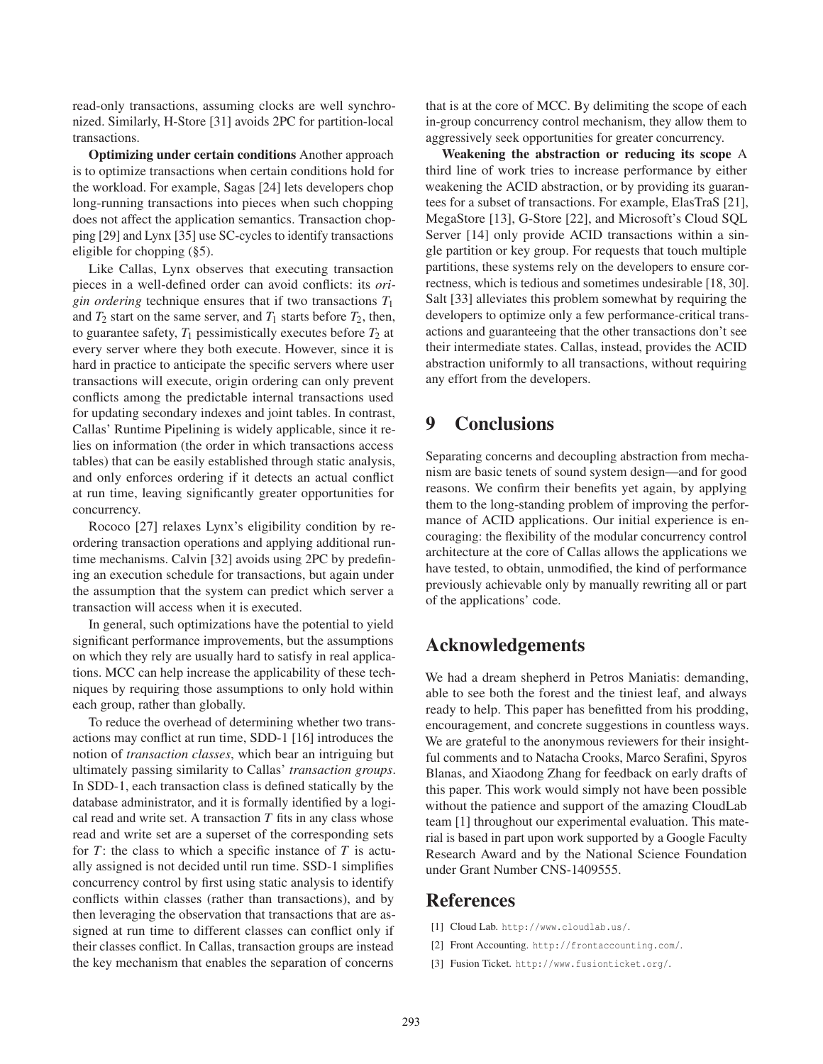read-only transactions, assuming clocks are well synchronized. Similarly, H-Store [31] avoids 2PC for partition-local transactions.

Optimizing under certain conditions Another approach is to optimize transactions when certain conditions hold for the workload. For example, Sagas [24] lets developers chop long-running transactions into pieces when such chopping does not affect the application semantics. Transaction chopping [29] and Lynx [35] use SC-cycles to identify transactions eligible for chopping (§5).

Like Callas, Lynx observes that executing transaction pieces in a well-defined order can avoid conflicts: its *origin ordering* technique ensures that if two transactions *T*<sup>1</sup> and  $T_2$  start on the same server, and  $T_1$  starts before  $T_2$ , then, to guarantee safety,  $T_1$  pessimistically executes before  $T_2$  at every server where they both execute. However, since it is hard in practice to anticipate the specific servers where user transactions will execute, origin ordering can only prevent conflicts among the predictable internal transactions used for updating secondary indexes and joint tables. In contrast, Callas' Runtime Pipelining is widely applicable, since it relies on information (the order in which transactions access tables) that can be easily established through static analysis, and only enforces ordering if it detects an actual conflict at run time, leaving significantly greater opportunities for concurrency.

Rococo [27] relaxes Lynx's eligibility condition by reordering transaction operations and applying additional runtime mechanisms. Calvin [32] avoids using 2PC by predefining an execution schedule for transactions, but again under the assumption that the system can predict which server a transaction will access when it is executed.

In general, such optimizations have the potential to yield significant performance improvements, but the assumptions on which they rely are usually hard to satisfy in real applications. MCC can help increase the applicability of these techniques by requiring those assumptions to only hold within each group, rather than globally.

To reduce the overhead of determining whether two transactions may conflict at run time, SDD-1 [16] introduces the notion of *transaction classes*, which bear an intriguing but ultimately passing similarity to Callas' *transaction groups*. In SDD-1, each transaction class is defined statically by the database administrator, and it is formally identified by a logical read and write set. A transaction *T* fits in any class whose read and write set are a superset of the corresponding sets for *T*: the class to which a specific instance of *T* is actually assigned is not decided until run time. SSD-1 simplifies concurrency control by first using static analysis to identify conflicts within classes (rather than transactions), and by then leveraging the observation that transactions that are assigned at run time to different classes can conflict only if their classes conflict. In Callas, transaction groups are instead the key mechanism that enables the separation of concerns that is at the core of MCC. By delimiting the scope of each in-group concurrency control mechanism, they allow them to aggressively seek opportunities for greater concurrency.

Weakening the abstraction or reducing its scope A third line of work tries to increase performance by either weakening the ACID abstraction, or by providing its guarantees for a subset of transactions. For example, ElasTraS [21], MegaStore [13], G-Store [22], and Microsoft's Cloud SQL Server [14] only provide ACID transactions within a single partition or key group. For requests that touch multiple partitions, these systems rely on the developers to ensure correctness, which is tedious and sometimes undesirable [18, 30]. Salt [33] alleviates this problem somewhat by requiring the developers to optimize only a few performance-critical transactions and guaranteeing that the other transactions don't see their intermediate states. Callas, instead, provides the ACID abstraction uniformly to all transactions, without requiring any effort from the developers.

### 9 Conclusions

Separating concerns and decoupling abstraction from mechanism are basic tenets of sound system design—and for good reasons. We confirm their benefits yet again, by applying them to the long-standing problem of improving the performance of ACID applications. Our initial experience is encouraging: the flexibility of the modular concurrency control architecture at the core of Callas allows the applications we have tested, to obtain, unmodified, the kind of performance previously achievable only by manually rewriting all or part of the applications' code.

# Acknowledgements

We had a dream shepherd in Petros Maniatis: demanding, able to see both the forest and the tiniest leaf, and always ready to help. This paper has benefitted from his prodding, encouragement, and concrete suggestions in countless ways. We are grateful to the anonymous reviewers for their insightful comments and to Natacha Crooks, Marco Serafini, Spyros Blanas, and Xiaodong Zhang for feedback on early drafts of this paper. This work would simply not have been possible without the patience and support of the amazing CloudLab team [1] throughout our experimental evaluation. This material is based in part upon work supported by a Google Faculty Research Award and by the National Science Foundation under Grant Number CNS-1409555.

### References

- [1] Cloud Lab. http://www.cloudlab.us/.
- [2] Front Accounting. http://frontaccounting.com/.
- [3] Fusion Ticket. http://www.fusionticket.org/.